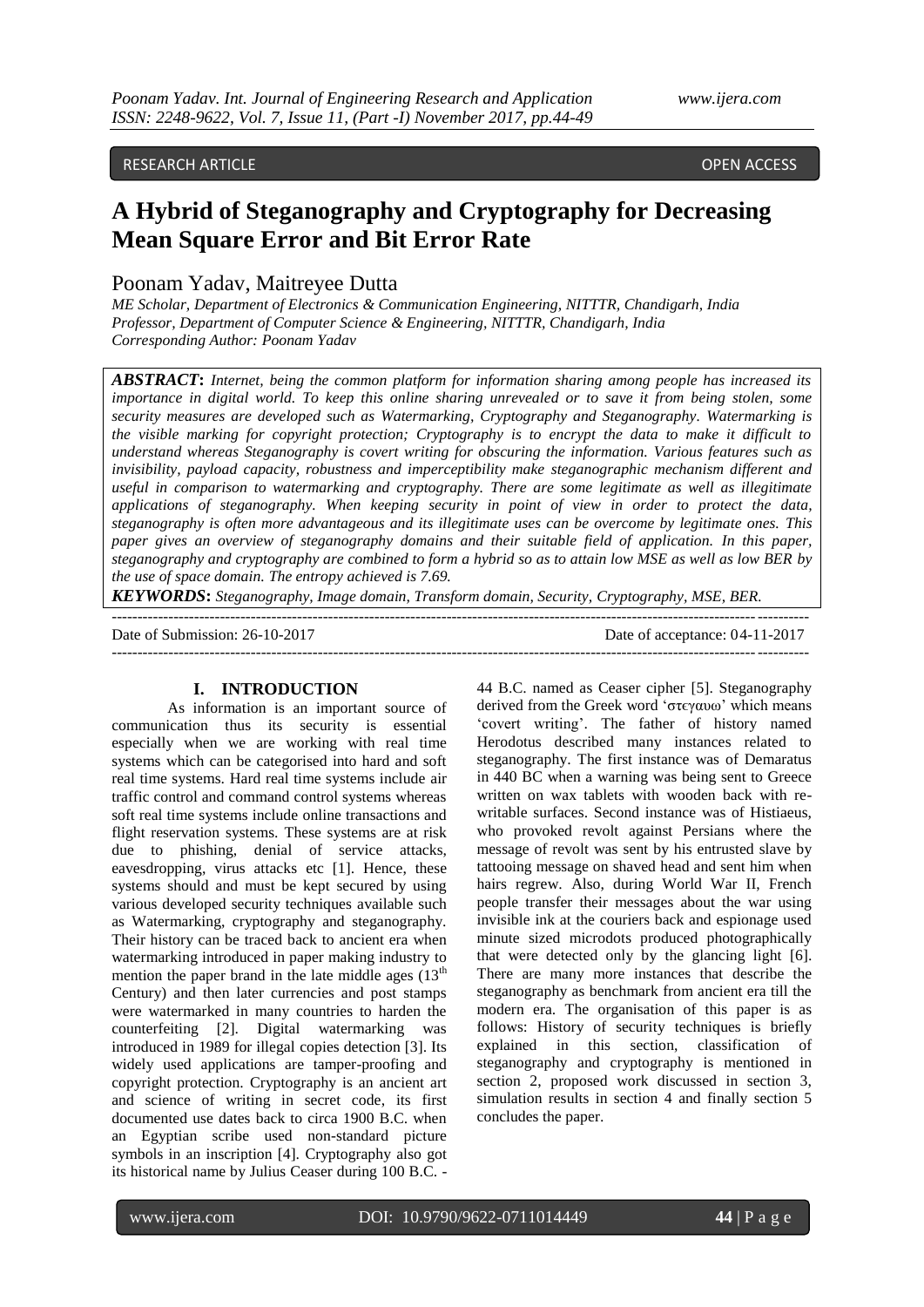# RESEARCH ARTICLE OPEN ACCESS

# **A Hybrid of Steganography and Cryptography for Decreasing Mean Square Error and Bit Error Rate**

# Poonam Yadav, Maitreyee Dutta

*ME Scholar, Department of Electronics & Communication Engineering, NITTTR, Chandigarh, India Professor, Department of Computer Science & Engineering, NITTTR, Chandigarh, India Corresponding Author: Poonam Yadav*

*ABSTRACT***:** *Internet, being the common platform for information sharing among people has increased its importance in digital world. To keep this online sharing unrevealed or to save it from being stolen, some security measures are developed such as Watermarking, Cryptography and Steganography. Watermarking is the visible marking for copyright protection; Cryptography is to encrypt the data to make it difficult to understand whereas Steganography is covert writing for obscuring the information. Various features such as invisibility, payload capacity, robustness and imperceptibility make steganographic mechanism different and useful in comparison to watermarking and cryptography. There are some legitimate as well as illegitimate applications of steganography. When keeping security in point of view in order to protect the data, steganography is often more advantageous and its illegitimate uses can be overcome by legitimate ones. This paper gives an overview of steganography domains and their suitable field of application. In this paper, steganography and cryptography are combined to form a hybrid so as to attain low MSE as well as low BER by the use of space domain. The entropy achieved is 7.69.*

*KEYWORDS***:** *Steganography, Image domain, Transform domain, Security, Cryptography, MSE, BER.*  ---------------------------------------------------------------------------------------------------------------------------------------

---------------------------------------------------------------------------------------------------------------------------------------

Date of Submission: 26-10-2017 Date of acceptance: 04-11-2017

#### **I. INTRODUCTION**

As information is an important source of communication thus its security is essential especially when we are working with real time systems which can be categorised into hard and soft real time systems. Hard real time systems include air traffic control and command control systems whereas soft real time systems include online transactions and flight reservation systems. These systems are at risk due to phishing, denial of service attacks, eavesdropping, virus attacks etc [1]. Hence, these systems should and must be kept secured by using various developed security techniques available such as Watermarking, cryptography and steganography. Their history can be traced back to ancient era when watermarking introduced in paper making industry to mention the paper brand in the late middle ages  $(13<sup>th</sup>)$ Century) and then later currencies and post stamps were watermarked in many countries to harden the counterfeiting [2]. Digital watermarking was introduced in 1989 for illegal copies detection [3]. Its widely used applications are tamper-proofing and copyright protection. Cryptography is an ancient art and science of writing in secret code, its first documented use dates back to circa 1900 B.C. when an Egyptian scribe used non-standard picture symbols in an inscription [4]. Cryptography also got its historical name by Julius Ceaser during 100 B.C. -

44 B.C. named as Ceaser cipher [5]. Steganography derived from the Greek word 'στεγαυω' which means "covert writing". The father of history named Herodotus described many instances related to steganography. The first instance was of Demaratus in 440 BC when a warning was being sent to Greece written on wax tablets with wooden back with rewritable surfaces. Second instance was of Histiaeus, who provoked revolt against Persians where the message of revolt was sent by his entrusted slave by tattooing message on shaved head and sent him when hairs regrew. Also, during World War II, French people transfer their messages about the war using invisible ink at the couriers back and espionage used minute sized microdots produced photographically that were detected only by the glancing light [6]. There are many more instances that describe the steganography as benchmark from ancient era till the modern era. The organisation of this paper is as follows: History of security techniques is briefly explained in this section, classification of steganography and cryptography is mentioned in section 2, proposed work discussed in section 3, simulation results in section 4 and finally section 5 concludes the paper.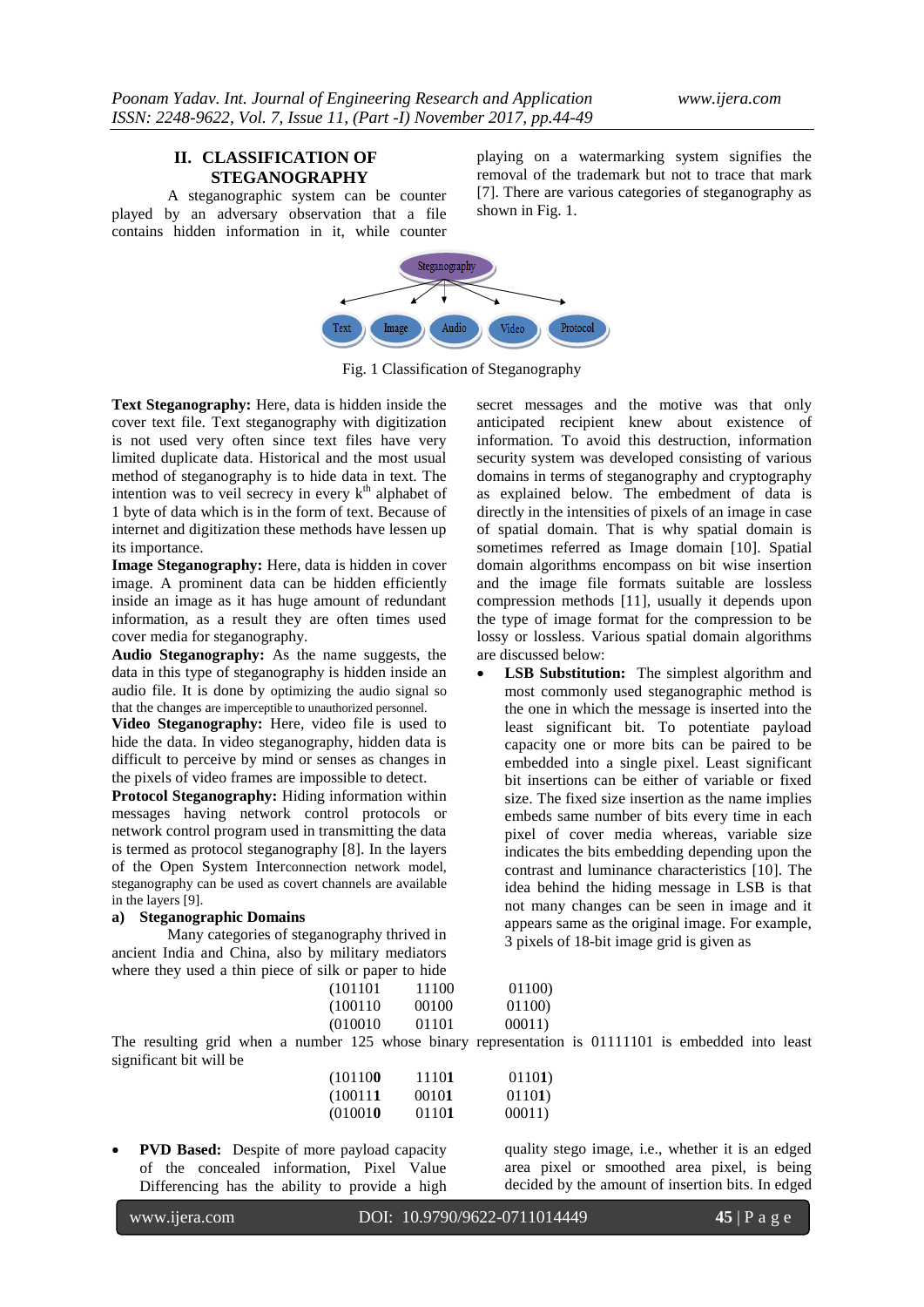# **II. CLASSIFICATION OF STEGANOGRAPHY**

A steganographic system can be counter played by an adversary observation that a file contains hidden information in it, while counter playing on a watermarking system signifies the removal of the trademark but not to trace that mark [7]. There are various categories of steganography as shown in Fig. 1.



Fig. 1 Classification of Steganography

**Text Steganography:** Here, data is hidden inside the cover text file. Text steganography with digitization is not used very often since text files have very limited duplicate data. Historical and the most usual method of steganography is to hide data in text. The intention was to veil secrecy in every  $k<sup>th</sup>$  alphabet of 1 byte of data which is in the form of text. Because of internet and digitization these methods have lessen up its importance.

**Image Steganography:** Here, data is hidden in cover image. A prominent data can be hidden efficiently inside an image as it has huge amount of redundant information, as a result they are often times used cover media for steganography.

**Audio Steganography:** As the name suggests, the data in this type of steganography is hidden inside an audio file. It is done by optimizing the audio signal so that the changes are imperceptible to unauthorized personnel.

**Video Steganography:** Here, video file is used to hide the data. In video steganography, hidden data is difficult to perceive by mind or senses as changes in the pixels of video frames are impossible to detect.

**Protocol Steganography:** Hiding information within messages having network control protocols or network control program used in transmitting the data is termed as protocol steganography [8]. In the layers of the Open System Interconnection network model, steganography can be used as covert channels are available in the layers [9].

### **a) Steganographic Domains**

Many categories of steganography thrived in ancient India and China, also by military mediators where they used a thin piece of silk

secret messages and the motive was that only anticipated recipient knew about existence of information. To avoid this destruction, information security system was developed consisting of various domains in terms of steganography and cryptography as explained below. The embedment of data is directly in the intensities of pixels of an image in case of spatial domain. That is why spatial domain is sometimes referred as Image domain [10]. Spatial domain algorithms encompass on bit wise insertion and the image file formats suitable are lossless compression methods [11], usually it depends upon the type of image format for the compression to be lossy or lossless. Various spatial domain algorithms are discussed below:

 **LSB Substitution:** The simplest algorithm and most commonly used steganographic method is the one in which the message is inserted into the least significant bit. To potentiate payload capacity one or more bits can be paired to be embedded into a single pixel. Least significant bit insertions can be either of variable or fixed size. The fixed size insertion as the name implies embeds same number of bits every time in each pixel of cover media whereas, variable size indicates the bits embedding depending upon the contrast and luminance characteristics [10]. The idea behind the hiding message in LSB is that not many changes can be seen in image and it appears same as the original image. For example, 3 pixels of 18-bit image grid is given as

| where they used a thin piece of silk or paper to hide |          |       |        |
|-------------------------------------------------------|----------|-------|--------|
|                                                       | (101101  | 11100 | 01100  |
|                                                       | (100110) | 00100 | 01100  |
|                                                       | (010010) | 01101 | 00011) |

The resulting grid when a number 125 whose binary representation is 01111101 is embedded into least significant bit will be

| (101100  | 11101 | 01101) |
|----------|-------|--------|
| (100111) | 00101 | 01101) |
| (010010) | 01101 | 00011) |

 **PVD Based:** Despite of more payload capacity of the concealed information, Pixel Value Differencing has the ability to provide a high

quality stego image, i.e., whether it is an edged area pixel or smoothed area pixel, is being decided by the amount of insertion bits. In edged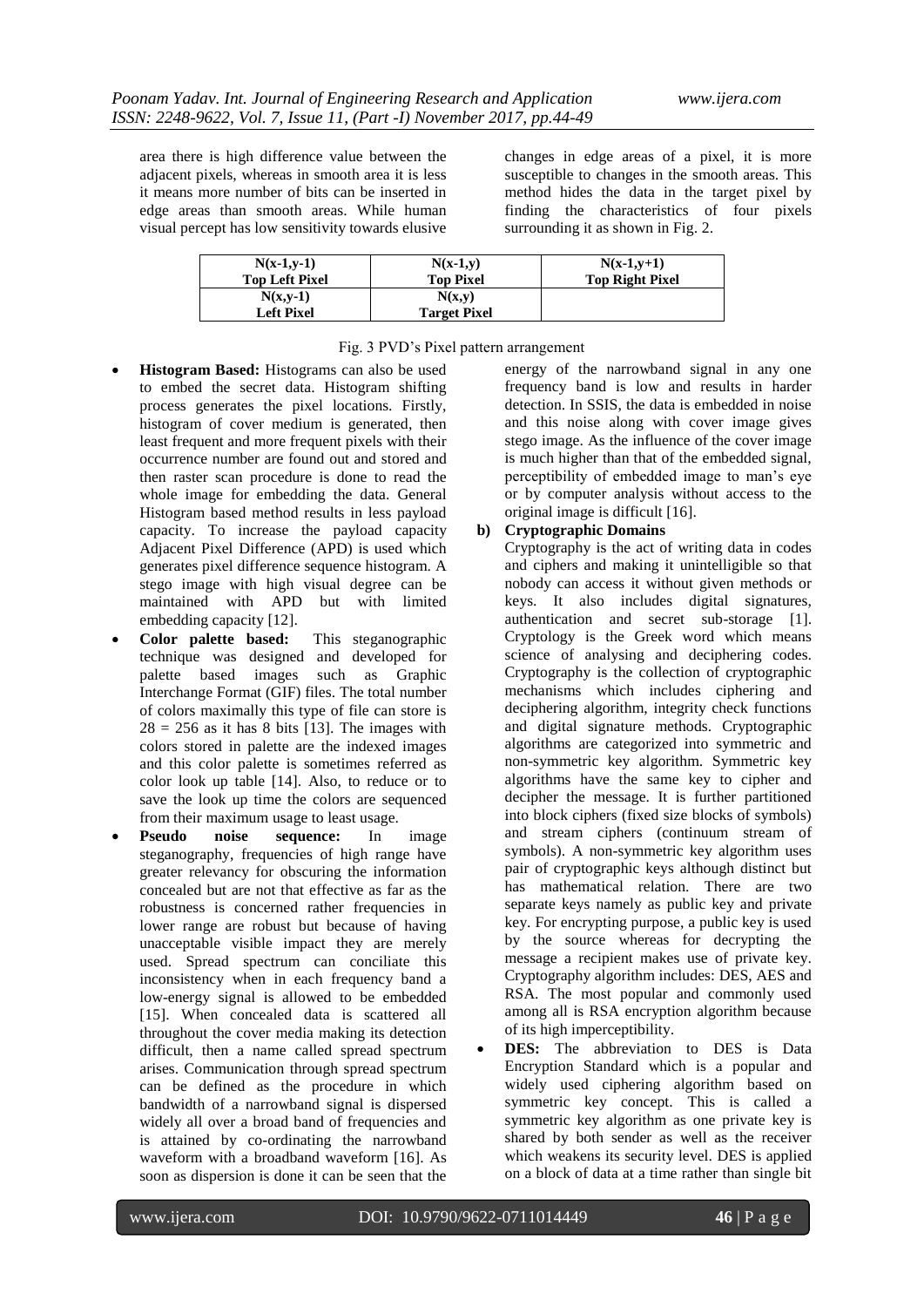area there is high difference value between the adjacent pixels, whereas in smooth area it is less it means more number of bits can be inserted in edge areas than smooth areas. While human visual percept has low sensitivity towards elusive

changes in edge areas of a pixel, it is more susceptible to changes in the smooth areas. This method hides the data in the target pixel by finding the characteristics of four pixels surrounding it as shown in Fig. 2.

| $N(x-1,y-1)$          | $N(x-1,y)$          | $N(x-1,y+1)$           |
|-----------------------|---------------------|------------------------|
| <b>Top Left Pixel</b> | Top Pixel           | <b>Top Right Pixel</b> |
| $N(x,y-1)$            | N(x,y)              |                        |
| Left Pixel            | <b>Target Pixel</b> |                        |

## Fig. 3 PVD"s Pixel pattern arrangement

- **Histogram Based:** Histograms can also be used to embed the secret data. Histogram shifting process generates the pixel locations. Firstly, histogram of cover medium is generated, then least frequent and more frequent pixels with their occurrence number are found out and stored and then raster scan procedure is done to read the whole image for embedding the data. General Histogram based method results in less payload capacity. To increase the payload capacity Adjacent Pixel Difference (APD) is used which generates pixel difference sequence histogram. A stego image with high visual degree can be maintained with APD but with limited embedding capacity [12].
- **Color palette based:** This steganographic technique was designed and developed for palette based images such as Graphic Interchange Format (GIF) files. The total number of colors maximally this type of file can store is  $28 = 256$  as it has 8 bits [13]. The images with colors stored in palette are the indexed images and this color palette is sometimes referred as color look up table [14]. Also, to reduce or to save the look up time the colors are sequenced from their maximum usage to least usage.
- **Pseudo noise sequence:** In image steganography, frequencies of high range have greater relevancy for obscuring the information concealed but are not that effective as far as the robustness is concerned rather frequencies in lower range are robust but because of having unacceptable visible impact they are merely used. Spread spectrum can conciliate this inconsistency when in each frequency band a low-energy signal is allowed to be embedded [15]. When concealed data is scattered all throughout the cover media making its detection difficult, then a name called spread spectrum arises. Communication through spread spectrum can be defined as the procedure in which bandwidth of a narrowband signal is dispersed widely all over a broad band of frequencies and is attained by co-ordinating the narrowband waveform with a broadband waveform [16]. As soon as dispersion is done it can be seen that the

energy of the narrowband signal in any one frequency band is low and results in harder detection. In SSIS, the data is embedded in noise and this noise along with cover image gives stego image. As the influence of the cover image is much higher than that of the embedded signal, perceptibility of embedded image to man"s eye or by computer analysis without access to the original image is difficult [16].

# **b) Cryptographic Domains**

Cryptography is the act of writing data in codes and ciphers and making it unintelligible so that nobody can access it without given methods or keys. It also includes digital signatures, authentication and secret sub-storage [1]. Cryptology is the Greek word which means science of analysing and deciphering codes. Cryptography is the collection of cryptographic mechanisms which includes ciphering and deciphering algorithm, integrity check functions and digital signature methods. Cryptographic algorithms are categorized into symmetric and non-symmetric key algorithm. Symmetric key algorithms have the same key to cipher and decipher the message. It is further partitioned into block ciphers (fixed size blocks of symbols) and stream ciphers (continuum stream of symbols). A non-symmetric key algorithm uses pair of cryptographic keys although distinct but has mathematical relation. There are two separate keys namely as public key and private key. For encrypting purpose, a public key is used by the source whereas for decrypting the message a recipient makes use of private key. Cryptography algorithm includes: DES, AES and RSA. The most popular and commonly used among all is RSA encryption algorithm because of its high imperceptibility.

 **DES:** The abbreviation to DES is Data Encryption Standard which is a popular and widely used ciphering algorithm based on symmetric key concept. This is called a symmetric key algorithm as one private key is shared by both sender as well as the receiver which weakens its security level. DES is applied on a block of data at a time rather than single bit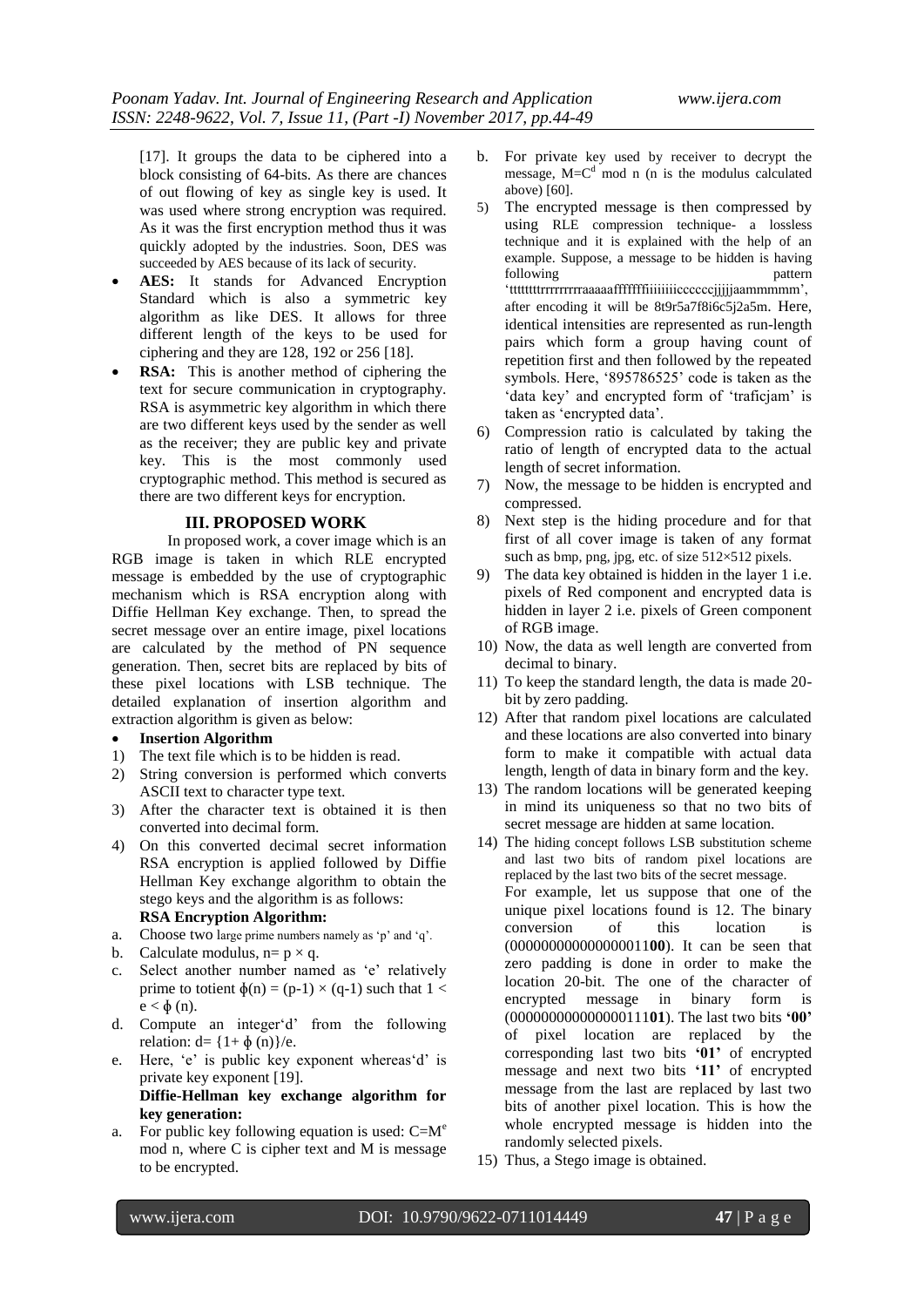[17]. It groups the data to be ciphered into a block consisting of 64-bits. As there are chances of out flowing of key as single key is used. It was used where strong encryption was required. As it was the first encryption method thus it was quickly adopted by the industries. Soon, DES was succeeded by AES because of its lack of security.

- **AES:** It stands for Advanced Encryption Standard which is also a symmetric key algorithm as like DES. It allows for three different length of the keys to be used for ciphering and they are 128, 192 or 256 [18].
- **RSA:** This is another method of ciphering the text for secure communication in cryptography. RSA is asymmetric key algorithm in which there are two different keys used by the sender as well as the receiver; they are public key and private key. This is the most commonly used cryptographic method. This method is secured as there are two different keys for encryption.

### **III. PROPOSED WORK**

In proposed work, a cover image which is an RGB image is taken in which RLE encrypted message is embedded by the use of cryptographic mechanism which is RSA encryption along with Diffie Hellman Key exchange. Then, to spread the secret message over an entire image, pixel locations are calculated by the method of PN sequence generation. Then, secret bits are replaced by bits of these pixel locations with LSB technique. The detailed explanation of insertion algorithm and extraction algorithm is given as below:

### **Insertion Algorithm**

- 1) The text file which is to be hidden is read.
- 2) String conversion is performed which converts ASCII text to character type text.
- 3) After the character text is obtained it is then converted into decimal form.
- 4) On this converted decimal secret information RSA encryption is applied followed by Diffie Hellman Key exchange algorithm to obtain the stego keys and the algorithm is as follows: **RSA Encryption Algorithm:**
- a. Choose two large prime numbers namely as 'p' and 'q'.
- b. Calculate modulus,  $n=p \times q$ .
- c. Select another number named as 'e' relatively prime to totient  $\phi(n) = (p-1) \times (q-1)$  such that  $1 <$  $e < \phi$  (n).
- d. Compute an integer'd' from the following relation:  $d = \{1 + \phi(n)\}/e$ .
- e. Here, 'e' is public key exponent whereas'd' is private key exponent [19]. **Diffie-Hellman key exchange algorithm for key generation:**
- a. For public key following equation is used:  $C=M<sup>e</sup>$ mod n, where C is cipher text and M is message to be encrypted.
- b. For private key used by receiver to decrypt the message,  $M = C<sup>d</sup>$  mod n (n is the modulus calculated above) [60].
- 5) The encrypted message is then compressed by using RLE compression technique- a lossless technique and it is explained with the help of an example. Suppose, a message to be hidden is having following pattern pattern "ttttttttrrrrrrrrraaaaafffffffiiiiiiiiccccccjjjjjaammmmm", after encoding it will be 8t9r5a7f8i6c5j2a5m. Here, identical intensities are represented as run-length pairs which form a group having count of repetition first and then followed by the repeated symbols. Here, '895786525' code is taken as the 'data key' and encrypted form of 'traficjam' is taken as 'encrypted data'.
- 6) Compression ratio is calculated by taking the ratio of length of encrypted data to the actual length of secret information.
- 7) Now, the message to be hidden is encrypted and compressed.
- 8) Next step is the hiding procedure and for that first of all cover image is taken of any format such as bmp, png, jpg, etc. of size 512×512 pixels.
- 9) The data key obtained is hidden in the layer 1 i.e. pixels of Red component and encrypted data is hidden in layer 2 i.e. pixels of Green component of RGB image.
- 10) Now, the data as well length are converted from decimal to binary.
- 11) To keep the standard length, the data is made 20 bit by zero padding.
- 12) After that random pixel locations are calculated and these locations are also converted into binary form to make it compatible with actual data length, length of data in binary form and the key.
- 13) The random locations will be generated keeping in mind its uniqueness so that no two bits of secret message are hidden at same location.
- 14) The hiding concept follows LSB substitution scheme and last two bits of random pixel locations are replaced by the last two bits of the secret message. For example, let us suppose that one of the unique pixel locations found is 12. The binary conversion of this location is (000000000000000011**00**). It can be seen that zero padding is done in order to make the location 20-bit. The one of the character of encrypted message in binary form is (000000000000000111**01**). The last two bits **'00'** of pixel location are replaced by the corresponding last two bits **'01'** of encrypted message and next two bits **'11'** of encrypted message from the last are replaced by last two bits of another pixel location. This is how the whole encrypted message is hidden into the randomly selected pixels.
- 15) Thus, a Stego image is obtained.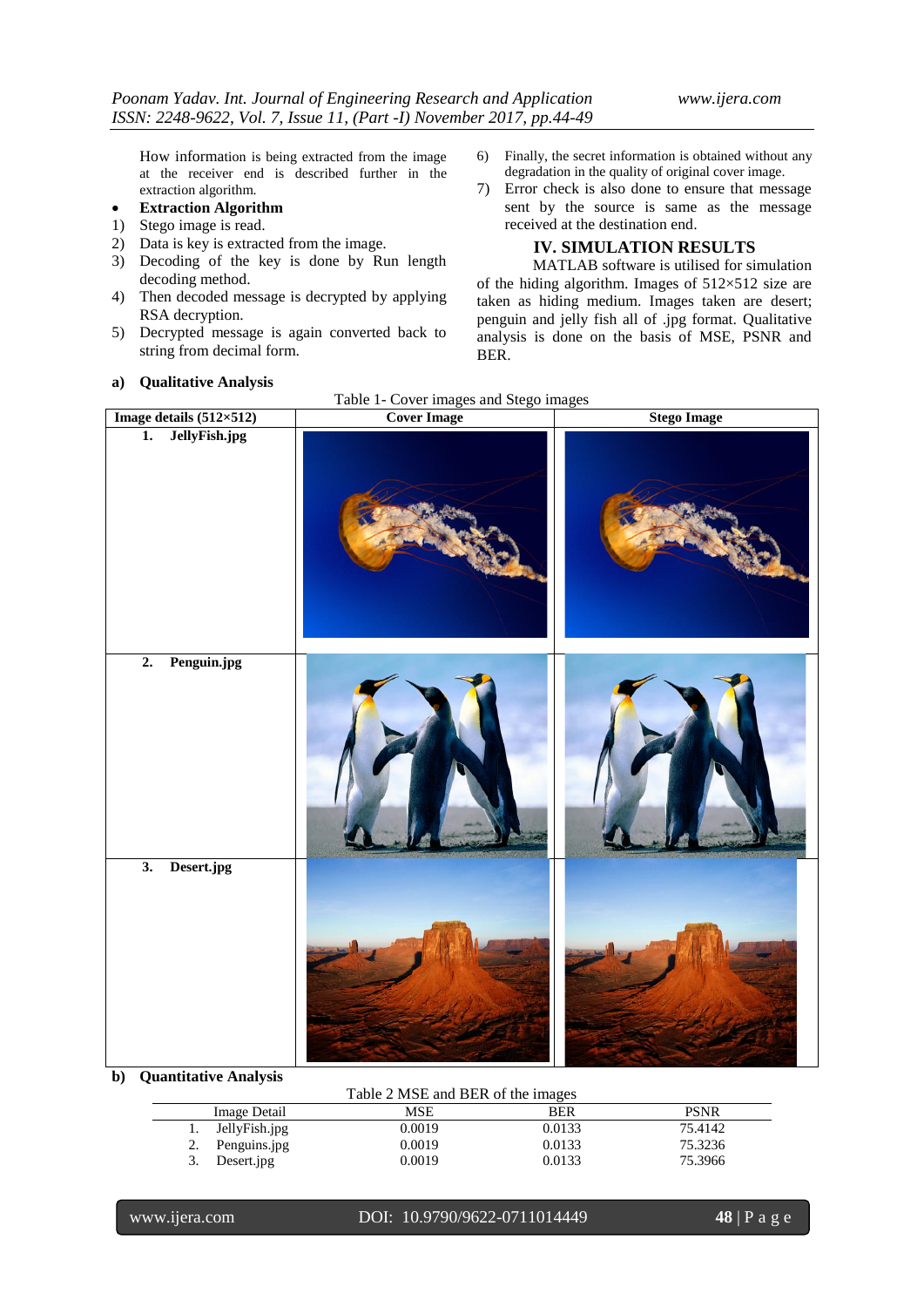How information is being extracted from the image at the receiver end is described further in the extraction algorithm.

- **Extraction Algorithm**
- 1) Stego image is read.
- 2) Data is key is extracted from the image.
- 3) Decoding of the key is done by Run length decoding method.
- 4) Then decoded message is decrypted by applying RSA decryption.
- 5) Decrypted message is again converted back to string from decimal form.

#### **a) Qualitative Analysis**

- 6) Finally, the secret information is obtained without any degradation in the quality of original cover image.
- 7) Error check is also done to ensure that message sent by the source is same as the message received at the destination end.

**IV. SIMULATION RESULTS**

MATLAB software is utilised for simulation of the hiding algorithm. Images of  $512\times512$  size are taken as hiding medium. Images taken are desert; penguin and jelly fish all of .jpg format. Qualitative analysis is done on the basis of MSE, PSNR and BER.

| Image details $(512\times512)$    | <b>Cover Image</b> | <b>Stego Image</b> |
|-----------------------------------|--------------------|--------------------|
| JellyFish.jpg<br>$\overline{1}$ . |                    |                    |
| Penguin.jpg<br>$\overline{2}$ .   |                    |                    |
| Desert.jpg<br>$\overline{3}$ .    |                    |                    |

Table 1- Cover images and Stego images

### **b) Quantitative Analysis**

| Table 2 MSE and BER of the images |        |            |             |
|-----------------------------------|--------|------------|-------------|
| Image Detail                      | MSE    | <b>BER</b> | <b>PSNR</b> |
| JellyFish.jpg                     | 0.0019 | 0.0133     | 75.4142     |
| Penguins.jpg                      | 0.0019 | 0.0133     | 75.3236     |
| Desert.jpg                        | 0.0019 | 0.0133     | 75.3966     |